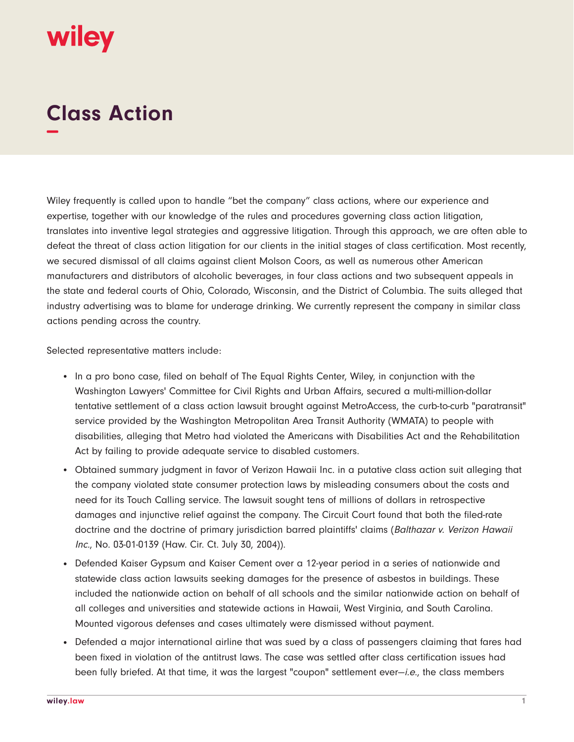

## **Class Action −**

Wiley frequently is called upon to handle "bet the company" class actions, where our experience and expertise, together with our knowledge of the rules and procedures governing class action litigation, translates into inventive legal strategies and aggressive litigation. Through this approach, we are often able to defeat the threat of class action litigation for our clients in the initial stages of class certification. Most recently, we secured dismissal of all claims against client Molson Coors, as well as numerous other American manufacturers and distributors of alcoholic beverages, in four class actions and two subsequent appeals in the state and federal courts of Ohio, Colorado, Wisconsin, and the District of Columbia. The suits alleged that industry advertising was to blame for underage drinking. We currently represent the company in similar class actions pending across the country.

Selected representative matters include:

- In a pro bono case, filed on behalf of The Equal Rights Center, Wiley, in conjunction with the Washington Lawyers' Committee for Civil Rights and Urban Affairs, secured a multi-million-dollar tentative settlement of a class action lawsuit brought against MetroAccess, the curb-to-curb "paratransit" service provided by the Washington Metropolitan Area Transit Authority (WMATA) to people with disabilities, alleging that Metro had violated the Americans with Disabilities Act and the Rehabilitation Act by failing to provide adequate service to disabled customers.
- Obtained summary judgment in favor of Verizon Hawaii Inc. in a putative class action suit alleging that the company violated state consumer protection laws by misleading consumers about the costs and need for its Touch Calling service. The lawsuit sought tens of millions of dollars in retrospective damages and injunctive relief against the company. The Circuit Court found that both the filed-rate doctrine and the doctrine of primary jurisdiction barred plaintiffs' claims (Balthazar v. Verizon Hawaii Inc., No. 03-01-0139 (Haw. Cir. Ct. July 30, 2004)).
- Defended Kaiser Gypsum and Kaiser Cement over a 12-year period in a series of nationwide and statewide class action lawsuits seeking damages for the presence of asbestos in buildings. These included the nationwide action on behalf of all schools and the similar nationwide action on behalf of all colleges and universities and statewide actions in Hawaii, West Virginia, and South Carolina. Mounted vigorous defenses and cases ultimately were dismissed without payment.
- Defended a major international airline that was sued by a class of passengers claiming that fares had been fixed in violation of the antitrust laws. The case was settled after class certification issues had been fully briefed. At that time, it was the largest "coupon" settlement ever-*i.e.*, the class members